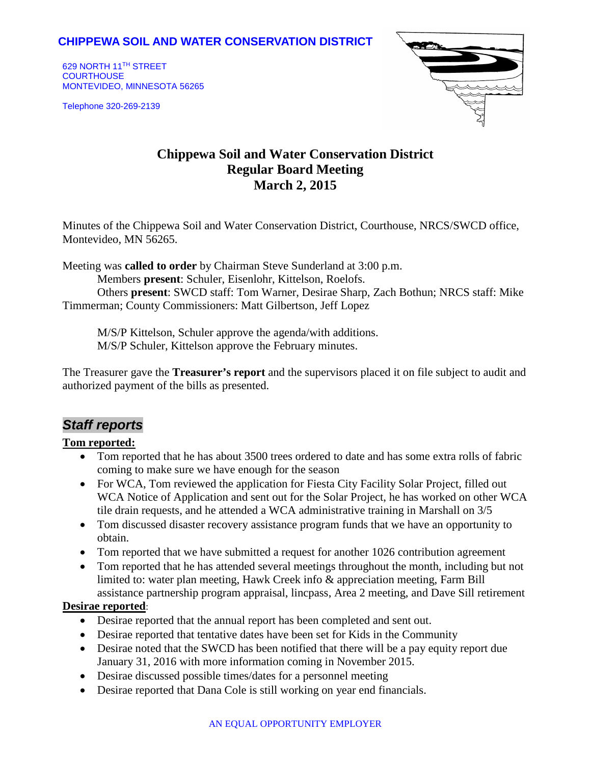## **CHIPPEWA SOIL AND WATER CONSERVATION DISTRICT**

629 NORTH 11TH STREET **COURTHOUSE** MONTEVIDEO, MINNESOTA 56265

Telephone 320-269-2139



# **Chippewa Soil and Water Conservation District Regular Board Meeting March 2, 2015**

Minutes of the Chippewa Soil and Water Conservation District, Courthouse, NRCS/SWCD office, Montevideo, MN 56265.

Meeting was **called to order** by Chairman Steve Sunderland at 3:00 p.m.

Members **present**: Schuler, Eisenlohr, Kittelson, Roelofs.

Others **present**: SWCD staff: Tom Warner, Desirae Sharp, Zach Bothun; NRCS staff: Mike Timmerman; County Commissioners: Matt Gilbertson, Jeff Lopez

M/S/P Kittelson, Schuler approve the agenda/with additions. M/S/P Schuler, Kittelson approve the February minutes.

The Treasurer gave the **Treasurer's report** and the supervisors placed it on file subject to audit and authorized payment of the bills as presented.

## *Staff reports*

#### **Tom reported:**

- Tom reported that he has about 3500 trees ordered to date and has some extra rolls of fabric coming to make sure we have enough for the season
- For WCA, Tom reviewed the application for Fiesta City Facility Solar Project, filled out WCA Notice of Application and sent out for the Solar Project, he has worked on other WCA tile drain requests, and he attended a WCA administrative training in Marshall on 3/5
- Tom discussed disaster recovery assistance program funds that we have an opportunity to obtain.
- Tom reported that we have submitted a request for another 1026 contribution agreement
- Tom reported that he has attended several meetings throughout the month, including but not limited to: water plan meeting, Hawk Creek info & appreciation meeting, Farm Bill assistance partnership program appraisal, lincpass, Area 2 meeting, and Dave Sill retirement

#### **Desirae reported**:

- Desirae reported that the annual report has been completed and sent out.
- Desirae reported that tentative dates have been set for Kids in the Community
- Desirae noted that the SWCD has been notified that there will be a pay equity report due January 31, 2016 with more information coming in November 2015.
- Desirae discussed possible times/dates for a personnel meeting
- Desirae reported that Dana Cole is still working on year end financials.